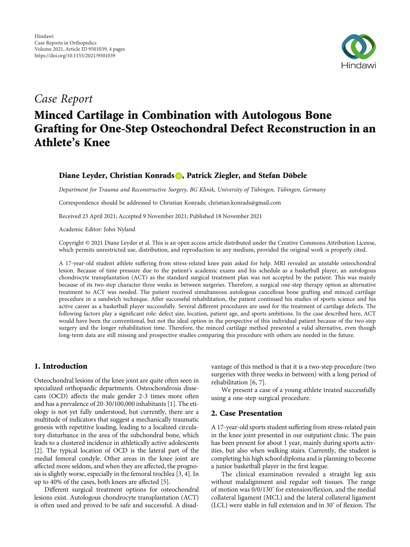

# Case Report

# Minced Cartilage in Combination with Autologous Bone Grafting for One-Step Osteochondral Defect Reconstruction in an Athlete's Knee

# Diane Leyder[,](https://orcid.org/0000-0002-1285-4615) Christian Konrads D, Patrick Ziegler, and Stefan Döbele

Department for Trauma and Reconstructive Surgery, BG Klinik, University of Tübingen, Tübingen, Germany

Correspondence should be addressed to Christian Konrads; christian.konrads@gmail.com

Received 23 April 2021; Accepted 9 November 2021; Published 18 November 2021

Academic Editor: John Nyland

Copyright © 2021 Diane Leyder et al. This is an open access article distributed under the [Creative Commons Attribution License](https://creativecommons.org/licenses/by/4.0/), which permits unrestricted use, distribution, and reproduction in any medium, provided the original work is properly cited.

A 17-year-old student athlete suffering from stress-related knee pain asked for help. MRI revealed an unstable osteochondral lesion. Because of time pressure due to the patient's academic exams and his schedule as a basketball player, an autologous chondrocyte transplantation (ACT) as the standard surgical treatment plan was not accepted by the patient. This was mainly because of its two-step character three weeks in between surgeries. Therefore, a surgical one-step therapy option as alternative treatment to ACT was needed. The patient received simultaneous autologous cancellous bone grafting and minced cartilage procedure in a sandwich technique. After successful rehabilitation, the patient continued his studies of sports science and his active career as a basketball player successfully. Several different procedures are used for the treatment of cartilage defects. The following factors play a significant role: defect size, location, patient age, and sports ambitions. In the case described here, ACT would have been the conventional, but not the ideal option in the perspective of this individual patient because of the two-step surgery and the longer rehabilitation time. Therefore, the minced cartilage method presented a valid alternative, even though long-term data are still missing and prospective studies comparing this procedure with others are needed in the future.

## 1. Introduction

Osteochondral lesions of the knee joint are quite often seen in specialized orthopaedic departments. Osteochondrosis dissecans (OCD) affects the male gender 2-3 times more often and has a prevalence of 20-30/100,000 inhabitants [\[1](#page-2-0)]. The etiology is not yet fully understood, but currently, there are a multitude of indicators that suggest a mechanically traumatic genesis with repetitive loading, leading to a localized circulatory disturbance in the area of the subchondral bone, which leads to a clustered incidence in athletically active adolescents [\[2](#page-2-0)]. The typical location of OCD is the lateral part of the medial femoral condyle. Other areas in the knee joint are affected more seldom, and when they are affected, the prognosis is slightly worse, especially in the femoral trochlea [[3, 4\]](#page-2-0). In up to 40% of the cases, both knees are affected [[5](#page-3-0)].

Different surgical treatment options for osteochondral lesions exist. Autologous chondrocyte transplantation (ACT) is often used and proved to be safe and successful. A disadvantage of this method is that it is a two-step procedure (two surgeries with three weeks in between) with a long period of rehabilitation [\[6, 7\]](#page-3-0).

We present a case of a young athlete treated successfully using a one-step surgical procedure.

#### 2. Case Presentation

A 17-year-old sports student suffering from stress-related pain in the knee joint presented in our outpatient clinic. The pain has been present for about 1 year, mainly during sports activities, but also when walking stairs. Currently, the student is completing his high school diploma and is planning to become a junior basketball player in the first league.

The clinical examination revealed a straight leg axis without malalignment and regular soft tissues. The range of motion was 0/0/130° for extension/flexion, and the medial collateral ligament (MCL) and the lateral collateral ligament (LCL) were stable in full extension and in 30° of flexion. The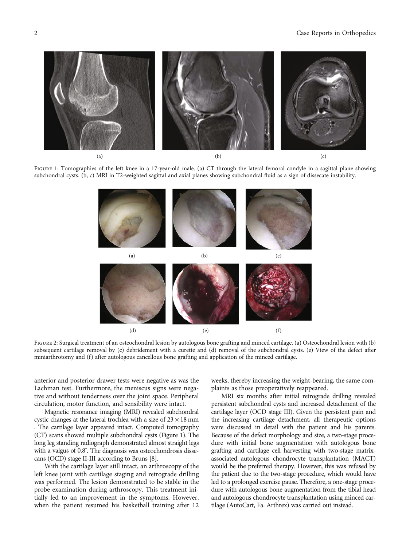#### <span id="page-1-0"></span>2 Case Reports in Orthopedics



FIGURE 1: Tomographies of the left knee in a 17-year-old male. (a) CT through the lateral femoral condyle in a sagittal plane showing subchondral cysts. (b, c) MRI in T2-weighted sagittal and axial planes showing subchondral fluid as a sign of dissecate instability.



FIGURE 2: Surgical treatment of an osteochondral lesion by autologous bone grafting and minced cartilage. (a) Osteochondral lesion with (b) subsequent cartilage removal by (c) debridement with a curette and (d) removal of the subchondral cysts. (e) View of the defect after miniarthrotomy and (f) after autologous cancellous bone grafting and application of the minced cartilage.

anterior and posterior drawer tests were negative as was the Lachman test. Furthermore, the meniscus signs were negative and without tenderness over the joint space. Peripheral circulation, motor function, and sensibility were intact.

Magnetic resonance imaging (MRI) revealed subchondral cystic changes at the lateral trochlea with a size of  $23 \times 18$  mm . The cartilage layer appeared intact. Computed tomography (CT) scans showed multiple subchondral cysts (Figure 1). The long leg standing radiograph demonstrated almost straight legs with a valgus of 0.8° . The diagnosis was osteochondrosis dissecans (OCD) stage II-III according to Bruns [[8](#page-3-0)].

With the cartilage layer still intact, an arthroscopy of the left knee joint with cartilage staging and retrograde drilling was performed. The lesion demonstrated to be stable in the probe examination during arthroscopy. This treatment initially led to an improvement in the symptoms. However, when the patient resumed his basketball training after 12 weeks, thereby increasing the weight-bearing, the same complaints as those preoperatively reappeared.

MRI six months after initial retrograde drilling revealed persistent subchondral cysts and increased detachment of the cartilage layer (OCD stage III). Given the persistent pain and the increasing cartilage detachment, all therapeutic options were discussed in detail with the patient and his parents. Because of the defect morphology and size, a two-stage procedure with initial bone augmentation with autologous bone grafting and cartilage cell harvesting with two-stage matrixassociated autologous chondrocyte transplantation (MACT) would be the preferred therapy. However, this was refused by the patient due to the two-stage procedure, which would have led to a prolonged exercise pause. Therefore, a one-stage procedure with autologous bone augmentation from the tibial head and autologous chondrocyte transplantation using minced cartilage (AutoCart, Fa. Arthrex) was carried out instead.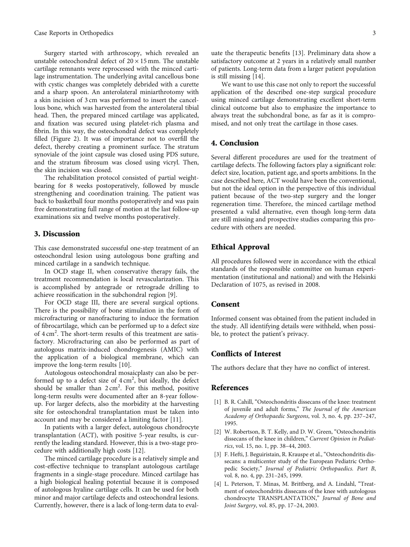<span id="page-2-0"></span>Surgery started with arthroscopy, which revealed an unstable osteochondral defect of  $20 \times 15$  mm. The unstable cartilage remnants were reprocessed with the minced cartilage instrumentation. The underlying avital cancellous bone with cystic changes was completely debrided with a curette and a sharp spoon. An anterolateral miniarthrotomy with a skin incision of 3 cm was performed to insert the cancellous bone, which was harvested from the anterolateral tibial head. Then, the prepared minced cartilage was applicated, and fixation was secured using platelet-rich plasma and fibrin. In this way, the osteochondral defect was completely filled (Figure [2](#page-1-0)). It was of importance not to overfill the defect, thereby creating a prominent surface. The stratum synoviale of the joint capsule was closed using PDS suture, and the stratum fibrosum was closed using vicryl. Then, the skin incision was closed.

The rehabilitation protocol consisted of partial weightbearing for 8 weeks postoperatively, followed by muscle strengthening and coordination training. The patient was back to basketball four months postoperatively and was pain free demonstrating full range of motion at the last follow-up examinations six and twelve months postoperatively.

#### 3. Discussion

This case demonstrated successful one-step treatment of an osteochondral lesion using autologous bone grafting and minced cartilage in a sandwich technique.

In OCD stage II, when conservative therapy fails, the treatment recommendation is local revascularization. This is accomplished by antegrade or retrograde drilling to achieve reossification in the subchondral region [[9\]](#page-3-0).

For OCD stage III, there are several surgical options. There is the possibility of bone stimulation in the form of microfracturing or nanofracturing to induce the formation of fibrocartilage, which can be performed up to a defect size of 4 cm<sup>2</sup>. The short-term results of this treatment are satisfactory. Microfracturing can also be performed as part of autologous matrix-induced chondrogenesis (AMIC) with the application of a biological membrane, which can improve the long-term results [\[10\]](#page-3-0).

Autologous osteochondral mosaicplasty can also be performed up to a defect size of  $4 \text{ cm}^2$ , but ideally, the defect should be smaller than  $2 \text{ cm}^2$ . For this method, positive long-term results were documented after an 8-year followup. For larger defects, also the morbidity at the harvesting site for osteochondral transplantation must be taken into account and may be considered a limiting factor [\[11\]](#page-3-0).

In patients with a larger defect, autologous chondrocyte transplantation (ACT), with positive 5-year results, is currently the leading standard. However, this is a two-stage procedure with additionally high costs [[12](#page-3-0)].

The minced cartilage procedure is a relatively simple and cost-effective technique to transplant autologous cartilage fragments in a single-stage procedure. Minced cartilage has a high biological healing potential because it is composed of autologous hyaline cartilage cells. It can be used for both minor and major cartilage defects and osteochondral lesions. Currently, however, there is a lack of long-term data to evaluate the therapeutic benefits [\[13\]](#page-3-0). Preliminary data show a satisfactory outcome at 2 years in a relatively small number of patients. Long-term data from a larger patient population is still missing [[14](#page-3-0)].

We want to use this case not only to report the successful application of the described one-step surgical procedure using minced cartilage demonstrating excellent short-term clinical outcome but also to emphasize the importance to always treat the subchondral bone, as far as it is compromised, and not only treat the cartilage in those cases.

# 4. Conclusion

Several different procedures are used for the treatment of cartilage defects. The following factors play a significant role: defect size, location, patient age, and sports ambitions. In the case described here, ACT would have been the conventional, but not the ideal option in the perspective of this individual patient because of the two-step surgery and the longer regeneration time. Therefore, the minced cartilage method presented a valid alternative, even though long-term data are still missing and prospective studies comparing this procedure with others are needed.

### Ethical Approval

All procedures followed were in accordance with the ethical standards of the responsible committee on human experimentation (institutional and national) and with the Helsinki Declaration of 1075, as revised in 2008.

#### Consent

Informed consent was obtained from the patient included in the study. All identifying details were withheld, when possible, to protect the patient's privacy.

### Conflicts of Interest

The authors declare that they have no conflict of interest.

#### References

- [1] B. R. Cahill, "Osteochondritis dissecans of the knee: treatment of juvenile and adult forms," The Journal of the American Academy of Orthopaedic Surgeons, vol. 3, no. 4, pp. 237–247, 1995.
- [2] W. Robertson, B. T. Kelly, and D. W. Green, "Osteochondritis dissecans of the knee in children," Current Opinion in Pediatrics, vol. 15, no. 1, pp. 38–44, 2003.
- [3] F. Hefti, J. Beguiristain, R. Krauspe et al., "Osteochondritis dissecans: a multicenter study of the European Pediatric Orthopedic Society," Journal of Pediatric Orthopaedics. Part B, vol. 8, no. 4, pp. 231–245, 1999.
- [4] L. Peterson, T. Minas, M. Brittberg, and A. Lindahl, "Treatment of osteochondritis dissecans of the knee with autologous chondrocyte TRANSPLANTATION," Journal of Bone and Joint Surgery, vol. 85, pp. 17–24, 2003.